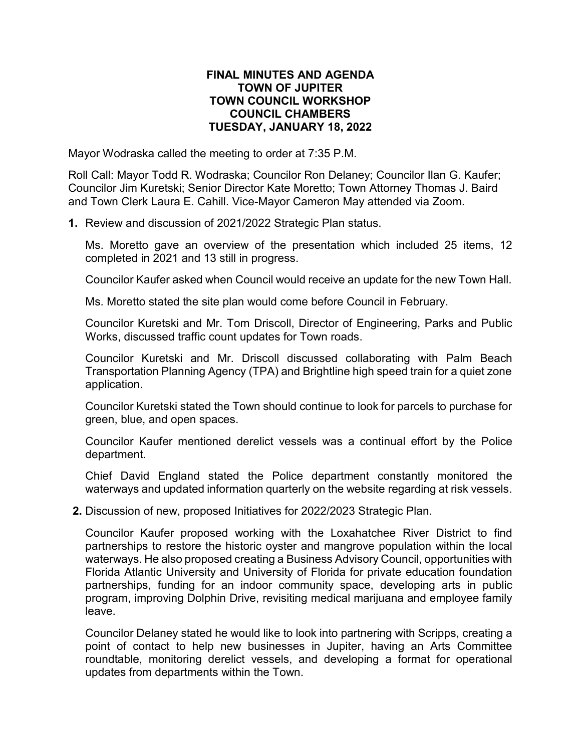## **FINAL MINUTES AND AGENDA TOWN OF JUPITER TOWN COUNCIL WORKSHOP COUNCIL CHAMBERS TUESDAY, JANUARY 18, 2022**

Mayor Wodraska called the meeting to order at 7:35 P.M.

Roll Call: Mayor Todd R. Wodraska; Councilor Ron Delaney; Councilor Ilan G. Kaufer; Councilor Jim Kuretski; Senior Director Kate Moretto; Town Attorney Thomas J. Baird and Town Clerk Laura E. Cahill. Vice-Mayor Cameron May attended via Zoom.

**1.** Review and discussion of 2021/2022 Strategic Plan status.

Ms. Moretto gave an overview of the presentation which included 25 items, 12 completed in 2021 and 13 still in progress.

Councilor Kaufer asked when Council would receive an update for the new Town Hall.

Ms. Moretto stated the site plan would come before Council in February.

Councilor Kuretski and Mr. Tom Driscoll, Director of Engineering, Parks and Public Works, discussed traffic count updates for Town roads.

Councilor Kuretski and Mr. Driscoll discussed collaborating with Palm Beach Transportation Planning Agency (TPA) and Brightline high speed train for a quiet zone application.

Councilor Kuretski stated the Town should continue to look for parcels to purchase for green, blue, and open spaces.

Councilor Kaufer mentioned derelict vessels was a continual effort by the Police department.

Chief David England stated the Police department constantly monitored the waterways and updated information quarterly on the website regarding at risk vessels.

**2.** Discussion of new, proposed Initiatives for 2022/2023 Strategic Plan.

Councilor Kaufer proposed working with the Loxahatchee River District to find partnerships to restore the historic oyster and mangrove population within the local waterways. He also proposed creating a Business Advisory Council, opportunities with Florida Atlantic University and University of Florida for private education foundation partnerships, funding for an indoor community space, developing arts in public program, improving Dolphin Drive, revisiting medical marijuana and employee family leave.

Councilor Delaney stated he would like to look into partnering with Scripps, creating a point of contact to help new businesses in Jupiter, having an Arts Committee roundtable, monitoring derelict vessels, and developing a format for operational updates from departments within the Town.